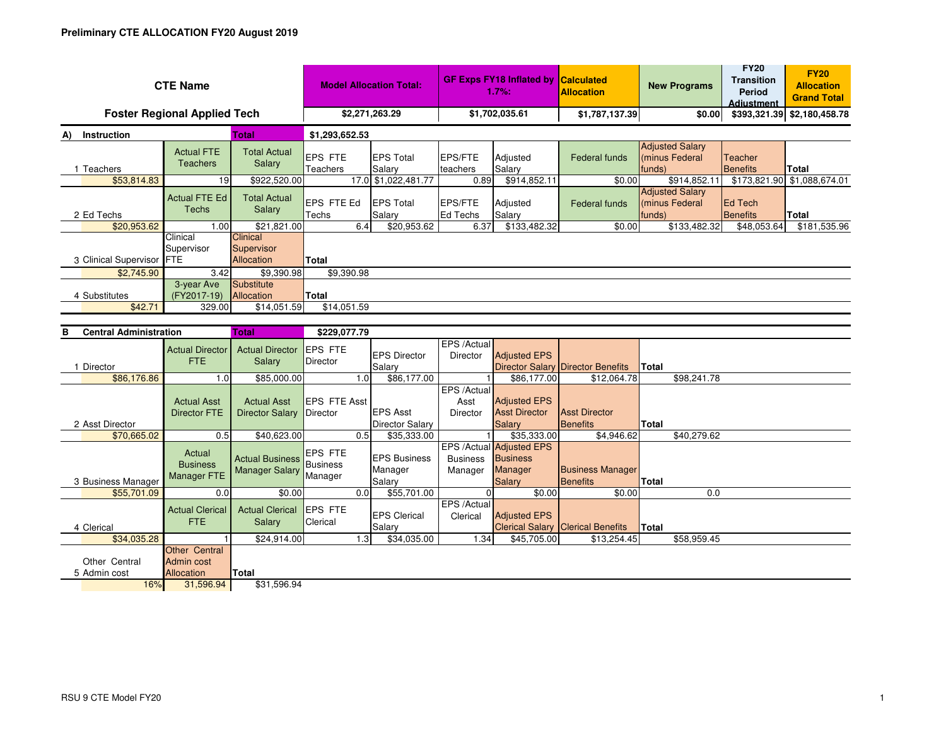| <b>CTE Name</b>                      |                                                     |                                                 | <b>Model Allocation Total:</b>        |                                           | <b>GF Exps FY18 Inflated by</b><br>1.7%: |                                                                         | <b>Calculated</b><br><b>Allocation</b>     | <b>New Programs</b>                                | <b>FY20</b><br><b>Transition</b><br><b>Period</b><br><b>Adiustment</b> | <b>FY20</b><br><b>Allocation</b><br><b>Grand Total</b> |
|--------------------------------------|-----------------------------------------------------|-------------------------------------------------|---------------------------------------|-------------------------------------------|------------------------------------------|-------------------------------------------------------------------------|--------------------------------------------|----------------------------------------------------|------------------------------------------------------------------------|--------------------------------------------------------|
| <b>Foster Regional Applied Tech</b>  |                                                     |                                                 | \$2,271,263.29                        |                                           | \$1,702,035.61                           |                                                                         | \$1,787,137.39                             | \$0.00                                             |                                                                        | \$393,321.39 \$2,180,458.78                            |
| A) Instruction                       |                                                     | Total                                           | \$1,293,652.53                        |                                           |                                          |                                                                         |                                            |                                                    |                                                                        |                                                        |
| 1 Teachers                           | <b>Actual FTE</b><br><b>Teachers</b>                | <b>Total Actual</b><br>Salary                   | <b>EPS FTE</b><br>Teachers            | <b>EPS Total</b><br>Salary                | <b>EPS/FTE</b><br>teachers               | Adjusted<br>Salary                                                      | <b>Federal funds</b>                       | <b>Adjusted Salary</b><br>(minus Federal<br>funds) | Teacher<br><b>Benefits</b>                                             | <b>Total</b>                                           |
| \$53,814.83                          | 19                                                  | \$922,520.00                                    |                                       | 17.0 \$1,022,481.77                       | 0.89                                     | \$914,852.11                                                            | \$0.00                                     | \$914,852.11                                       |                                                                        | \$173,821.90 \$1,088,674.01                            |
| 2 Ed Techs                           | <b>Actual FTE Ed</b><br><b>Techs</b>                | <b>Total Actual</b><br>Salary                   | EPS FTE Ed<br>Techs                   | <b>EPS Total</b><br>Salary                | <b>EPS/FTE</b><br><b>Ed Techs</b>        | Adjusted<br>Salary                                                      | Federal funds                              | <b>Adjusted Salary</b><br>(minus Federal<br>funds) | <b>Ed Tech</b><br><b>Benefits</b>                                      | <b>Total</b>                                           |
| \$20,953.62                          | 1.00                                                | \$21,821.00                                     | 6.4                                   | \$20,953.62                               | 6.37                                     | \$133,482.32                                                            | \$0.00                                     | \$133,482.32                                       | \$48,053.64                                                            | \$181,535.96                                           |
| 3 Clinical Supervisor FTE            | Clinical<br>Supervisor                              | Clinical<br>Supervisor<br>Allocation            | <b>Total</b>                          |                                           |                                          |                                                                         |                                            |                                                    |                                                                        |                                                        |
| \$2,745.90                           | 3.42<br>3-year Ave                                  | \$9,390.98<br>Substitute                        | \$9,390.98                            |                                           |                                          |                                                                         |                                            |                                                    |                                                                        |                                                        |
| 4 Substitutes                        | (FY2017-19)                                         | Allocation                                      | <b>Total</b>                          |                                           |                                          |                                                                         |                                            |                                                    |                                                                        |                                                        |
| \$42.71                              | 329.00                                              | \$14,051.59                                     | \$14,051.59                           |                                           |                                          |                                                                         |                                            |                                                    |                                                                        |                                                        |
|                                      |                                                     |                                                 |                                       |                                           |                                          |                                                                         |                                            |                                                    |                                                                        |                                                        |
| в                                    | <b>Central Administration</b><br><b>Total</b>       |                                                 | \$229,077.79                          |                                           |                                          |                                                                         |                                            |                                                    |                                                                        |                                                        |
| 1 Director                           | <b>Actual Director</b><br>FTE.                      | <b>Actual Director</b><br>Salary                | <b>EPS FTE</b><br>Director            | <b>EPS Director</b><br>Salary             | EPS / Actual<br><b>Director</b>          | <b>Adjusted EPS</b><br><b>Director Salary</b>                           | Director Benefits                          | <b>Total</b>                                       |                                                                        |                                                        |
| \$86,176.86                          | 1.0                                                 | \$85,000.00                                     | 1.0                                   | \$86,177.00                               |                                          | \$86,177.00                                                             | \$12,064.78                                | \$98,241.78                                        |                                                                        |                                                        |
| 2 Asst Director                      | <b>Actual Asst</b><br><b>Director FTE</b>           | <b>Actual Asst</b><br><b>Director Salary</b>    | EPS FTE Asst<br>Director              | <b>EPS Asst</b><br><b>Director Salary</b> | EPS /Actual<br>Asst<br>Director          | <b>Adjusted EPS</b><br><b>Asst Director</b><br><b>Salary</b>            | <b>Asst Director</b><br><b>Benefits</b>    | <b>Total</b>                                       |                                                                        |                                                        |
| \$70,665.02                          | 0.5                                                 | \$40,623.00                                     | 0.5                                   | \$35,333,00                               |                                          | \$35.333.00                                                             | \$4.946.62                                 | \$40,279.62                                        |                                                                        |                                                        |
| 3 Business Manager                   | Actual<br><b>Business</b><br><b>Manager FTE</b>     | <b>Actual Business</b><br><b>Manager Salary</b> | EPS FTE<br><b>Business</b><br>Manager | <b>EPS Business</b><br>Manager<br>Salary  | <b>Business</b><br>Manager               | <b>EPS /Actual Adjusted EPS</b><br><b>Business</b><br>Manager<br>Salary | <b>Business Manager</b><br><b>Benefits</b> | <b>Total</b>                                       |                                                                        |                                                        |
| \$55,701.09                          | 0.0                                                 | \$0.00                                          | 0.0                                   | \$55,701.00                               | $\overline{0}$                           | \$0.00                                                                  | \$0.00                                     | 0.0                                                |                                                                        |                                                        |
| 4 Clerical                           | <b>Actual Clerical</b><br><b>FTE</b>                | <b>Actual Clerical</b><br>Salary                | <b>EPS FTE</b><br>Clerical            | <b>EPS Clerical</b><br>Salary             | EPS /Actual<br>Clerical                  | <b>Adjusted EPS</b><br><b>Clerical Salary</b>                           | <b>Clerical Benefits</b>                   | Total                                              |                                                                        |                                                        |
| \$34,035.28                          | <b>Other Central</b>                                | \$24,914.00                                     | 1.3                                   | \$34,035.00                               | 1.34                                     | \$45,705.00                                                             | \$13,254.45                                | \$58,959.45                                        |                                                                        |                                                        |
| Other Central<br>5 Admin cost<br>16% | <b>Admin cost</b><br><b>Allocation</b><br>31,596.94 | Total<br>\$31,596.94                            |                                       |                                           |                                          |                                                                         |                                            |                                                    |                                                                        |                                                        |